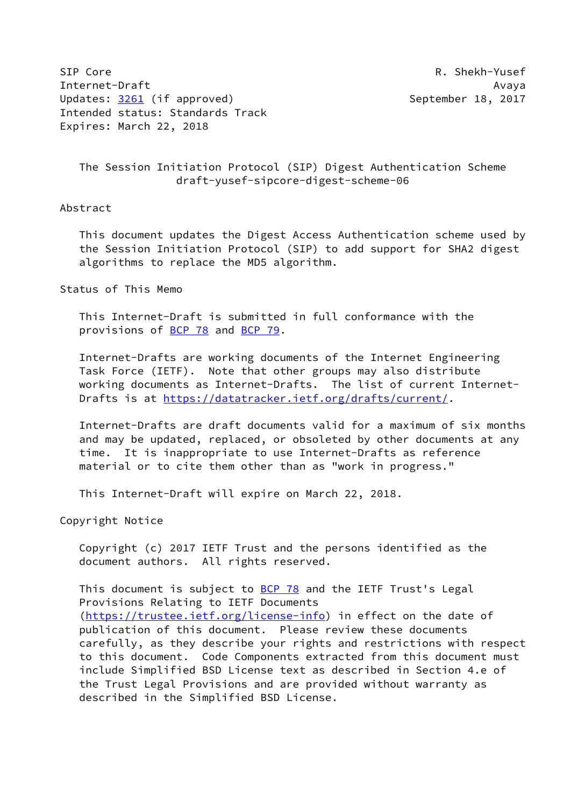SIP Core R. Shekh-Yusef Internet-Draft Avaya Updates: [3261](https://datatracker.ietf.org/doc/pdf/rfc3261) (if approved) September 18, 2017 Intended status: Standards Track Expires: March 22, 2018

 The Session Initiation Protocol (SIP) Digest Authentication Scheme draft-yusef-sipcore-digest-scheme-06

# Abstract

 This document updates the Digest Access Authentication scheme used by the Session Initiation Protocol (SIP) to add support for SHA2 digest algorithms to replace the MD5 algorithm.

Status of This Memo

 This Internet-Draft is submitted in full conformance with the provisions of [BCP 78](https://datatracker.ietf.org/doc/pdf/bcp78) and [BCP 79](https://datatracker.ietf.org/doc/pdf/bcp79).

 Internet-Drafts are working documents of the Internet Engineering Task Force (IETF). Note that other groups may also distribute working documents as Internet-Drafts. The list of current Internet Drafts is at<https://datatracker.ietf.org/drafts/current/>.

 Internet-Drafts are draft documents valid for a maximum of six months and may be updated, replaced, or obsoleted by other documents at any time. It is inappropriate to use Internet-Drafts as reference material or to cite them other than as "work in progress."

This Internet-Draft will expire on March 22, 2018.

Copyright Notice

 Copyright (c) 2017 IETF Trust and the persons identified as the document authors. All rights reserved.

This document is subject to **[BCP 78](https://datatracker.ietf.org/doc/pdf/bcp78)** and the IETF Trust's Legal Provisions Relating to IETF Documents [\(https://trustee.ietf.org/license-info](https://trustee.ietf.org/license-info)) in effect on the date of publication of this document. Please review these documents carefully, as they describe your rights and restrictions with respect to this document. Code Components extracted from this document must include Simplified BSD License text as described in Section 4.e of the Trust Legal Provisions and are provided without warranty as described in the Simplified BSD License.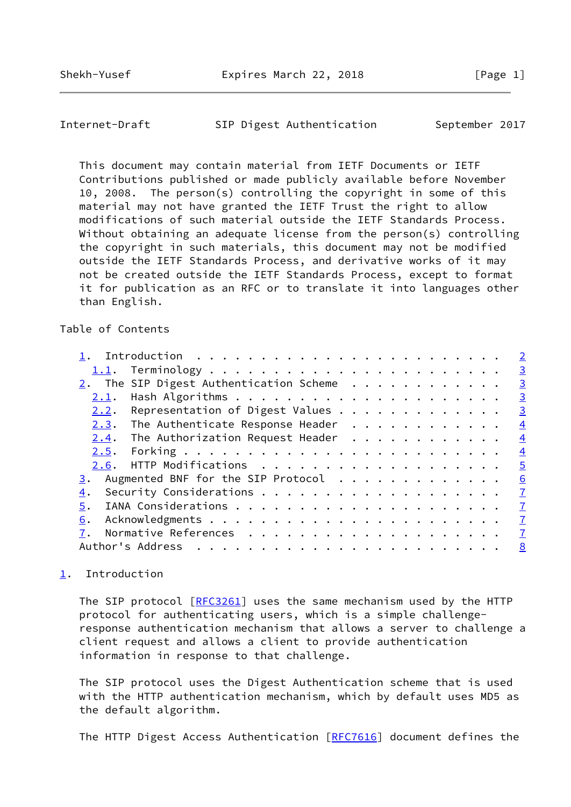<span id="page-1-1"></span>Internet-Draft SIP Digest Authentication September 2017

 This document may contain material from IETF Documents or IETF Contributions published or made publicly available before November 10, 2008. The person(s) controlling the copyright in some of this material may not have granted the IETF Trust the right to allow modifications of such material outside the IETF Standards Process. Without obtaining an adequate license from the person(s) controlling the copyright in such materials, this document may not be modified outside the IETF Standards Process, and derivative works of it may not be created outside the IETF Standards Process, except to format it for publication as an RFC or to translate it into languages other than English.

# Table of Contents

|                                                                                                                                                                                                                                                   | $\overline{2}$ |
|---------------------------------------------------------------------------------------------------------------------------------------------------------------------------------------------------------------------------------------------------|----------------|
|                                                                                                                                                                                                                                                   | $\overline{3}$ |
| $2.$ The SIP Digest Authentication Scheme                                                                                                                                                                                                         | $\overline{3}$ |
| 2.1.                                                                                                                                                                                                                                              | $\overline{3}$ |
| Representation of Digest Values<br>2.2.                                                                                                                                                                                                           | $\overline{3}$ |
| 2.3. The Authenticate Response Header                                                                                                                                                                                                             | $\overline{4}$ |
| The Authorization Request Header<br>2.4.                                                                                                                                                                                                          | $\overline{4}$ |
| 2.5.                                                                                                                                                                                                                                              | $\overline{4}$ |
|                                                                                                                                                                                                                                                   | $\overline{5}$ |
| Augmented BNF for the SIP Protocol<br>3.                                                                                                                                                                                                          | 6              |
| 4.                                                                                                                                                                                                                                                | $\mathbf{I}$   |
| 5.                                                                                                                                                                                                                                                | $\mathbf{I}$   |
| 6.                                                                                                                                                                                                                                                | $\mathcal{I}$  |
|                                                                                                                                                                                                                                                   | $\mathbf{Z}$   |
| Author's Address<br>. The contract of the contract of the contract of the contract of the contract of the contract of the contract of the contract of the contract of the contract of the contract of the contract of the contract of the contrac | 8              |
|                                                                                                                                                                                                                                                   |                |

# <span id="page-1-0"></span>[1](#page-1-0). Introduction

The SIP protocol [\[RFC3261](https://datatracker.ietf.org/doc/pdf/rfc3261)] uses the same mechanism used by the HTTP protocol for authenticating users, which is a simple challenge response authentication mechanism that allows a server to challenge a client request and allows a client to provide authentication information in response to that challenge.

 The SIP protocol uses the Digest Authentication scheme that is used with the HTTP authentication mechanism, which by default uses MD5 as the default algorithm.

The HTTP Digest Access Authentication [[RFC7616](https://datatracker.ietf.org/doc/pdf/rfc7616)] document defines the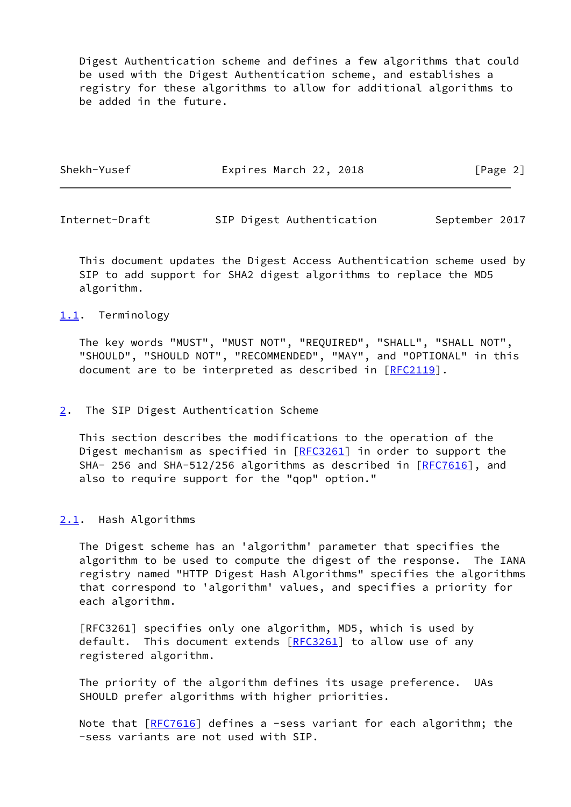Digest Authentication scheme and defines a few algorithms that could be used with the Digest Authentication scheme, and establishes a registry for these algorithms to allow for additional algorithms to be added in the future.

| Shekh-Yusef | Expires March 22, 2018 | [Page 2] |
|-------------|------------------------|----------|
|             |                        |          |

<span id="page-2-1"></span>Internet-Draft SIP Digest Authentication September 2017

 This document updates the Digest Access Authentication scheme used by SIP to add support for SHA2 digest algorithms to replace the MD5 algorithm.

# <span id="page-2-0"></span>[1.1](#page-2-0). Terminology

 The key words "MUST", "MUST NOT", "REQUIRED", "SHALL", "SHALL NOT", "SHOULD", "SHOULD NOT", "RECOMMENDED", "MAY", and "OPTIONAL" in this document are to be interpreted as described in [\[RFC2119](https://datatracker.ietf.org/doc/pdf/rfc2119)].

#### <span id="page-2-2"></span>[2](#page-2-2). The SIP Digest Authentication Scheme

 This section describes the modifications to the operation of the Digest mechanism as specified in [\[RFC3261](https://datatracker.ietf.org/doc/pdf/rfc3261)] in order to support the SHA- 256 and SHA-512/256 algorithms as described in [\[RFC7616](https://datatracker.ietf.org/doc/pdf/rfc7616)], and also to require support for the "qop" option."

#### <span id="page-2-3"></span>[2.1](#page-2-3). Hash Algorithms

 The Digest scheme has an 'algorithm' parameter that specifies the algorithm to be used to compute the digest of the response. The IANA registry named "HTTP Digest Hash Algorithms" specifies the algorithms that correspond to 'algorithm' values, and specifies a priority for each algorithm.

 [RFC3261] specifies only one algorithm, MD5, which is used by default. This document extends [\[RFC3261](https://datatracker.ietf.org/doc/pdf/rfc3261)] to allow use of any registered algorithm.

 The priority of the algorithm defines its usage preference. UAs SHOULD prefer algorithms with higher priorities.

Note that [[RFC7616](https://datatracker.ietf.org/doc/pdf/rfc7616)] defines a -sess variant for each algorithm; the -sess variants are not used with SIP.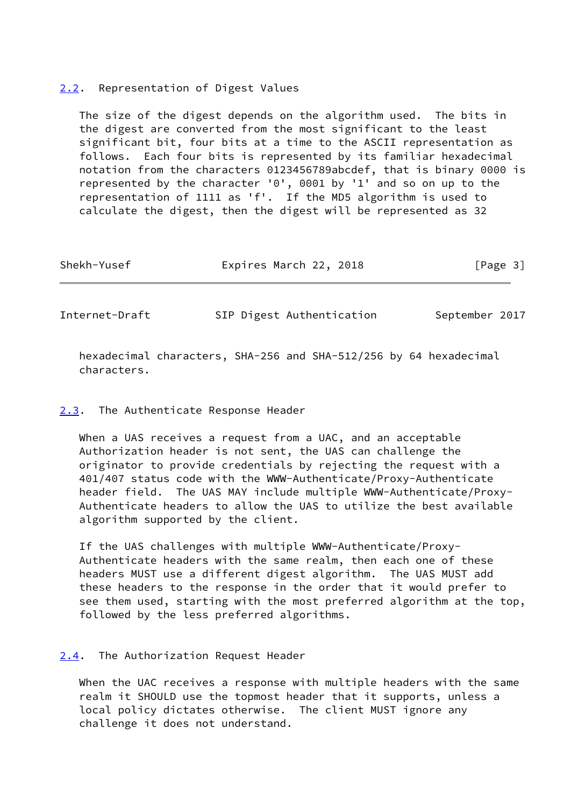#### <span id="page-3-0"></span>[2.2](#page-3-0). Representation of Digest Values

 The size of the digest depends on the algorithm used. The bits in the digest are converted from the most significant to the least significant bit, four bits at a time to the ASCII representation as follows. Each four bits is represented by its familiar hexadecimal notation from the characters 0123456789abcdef, that is binary 0000 is represented by the character '0', 0001 by '1' and so on up to the representation of 1111 as 'f'. If the MD5 algorithm is used to calculate the digest, then the digest will be represented as 32

| Shekh-Yusef | Expires March 22, 2018 | [Page 3] |
|-------------|------------------------|----------|
|             |                        |          |

<span id="page-3-2"></span>Internet-Draft SIP Digest Authentication September 2017

 hexadecimal characters, SHA-256 and SHA-512/256 by 64 hexadecimal characters.

#### <span id="page-3-1"></span>[2.3](#page-3-1). The Authenticate Response Header

 When a UAS receives a request from a UAC, and an acceptable Authorization header is not sent, the UAS can challenge the originator to provide credentials by rejecting the request with a 401/407 status code with the WWW-Authenticate/Proxy-Authenticate header field. The UAS MAY include multiple WWW-Authenticate/Proxy- Authenticate headers to allow the UAS to utilize the best available algorithm supported by the client.

 If the UAS challenges with multiple WWW-Authenticate/Proxy- Authenticate headers with the same realm, then each one of these headers MUST use a different digest algorithm. The UAS MUST add these headers to the response in the order that it would prefer to see them used, starting with the most preferred algorithm at the top, followed by the less preferred algorithms.

#### <span id="page-3-3"></span>[2.4](#page-3-3). The Authorization Request Header

 When the UAC receives a response with multiple headers with the same realm it SHOULD use the topmost header that it supports, unless a local policy dictates otherwise. The client MUST ignore any challenge it does not understand.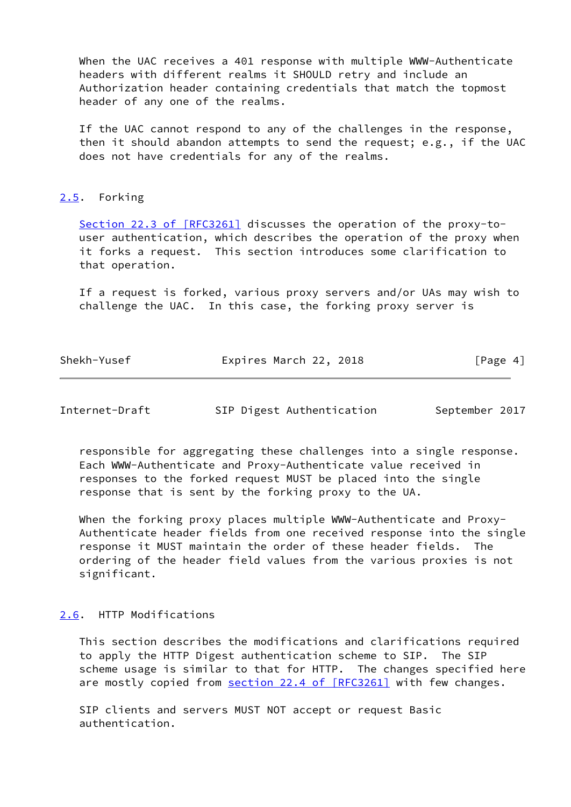When the UAC receives a 401 response with multiple WWW-Authenticate headers with different realms it SHOULD retry and include an Authorization header containing credentials that match the topmost header of any one of the realms.

 If the UAC cannot respond to any of the challenges in the response, then it should abandon attempts to send the request; e.g., if the UAC does not have credentials for any of the realms.

# <span id="page-4-0"></span>[2.5](#page-4-0). Forking

 Section [22.3 of \[RFC3261\]](https://datatracker.ietf.org/doc/pdf/rfc3261#section-22.3) discusses the operation of the proxy-to user authentication, which describes the operation of the proxy when it forks a request. This section introduces some clarification to that operation.

 If a request is forked, various proxy servers and/or UAs may wish to challenge the UAC. In this case, the forking proxy server is

| Shekh-Yusef | Expires March 22, 2018 | [Page 4] |
|-------------|------------------------|----------|
|-------------|------------------------|----------|

<span id="page-4-2"></span>Internet-Draft SIP Digest Authentication September 2017

 responsible for aggregating these challenges into a single response. Each WWW-Authenticate and Proxy-Authenticate value received in responses to the forked request MUST be placed into the single response that is sent by the forking proxy to the UA.

 When the forking proxy places multiple WWW-Authenticate and Proxy- Authenticate header fields from one received response into the single response it MUST maintain the order of these header fields. The ordering of the header field values from the various proxies is not significant.

# <span id="page-4-1"></span>[2.6](#page-4-1). HTTP Modifications

 This section describes the modifications and clarifications required to apply the HTTP Digest authentication scheme to SIP. The SIP scheme usage is similar to that for HTTP. The changes specified here are mostly copied from section [22.4 of \[RFC3261\]](https://datatracker.ietf.org/doc/pdf/rfc3261#section-22.4) with few changes.

 SIP clients and servers MUST NOT accept or request Basic authentication.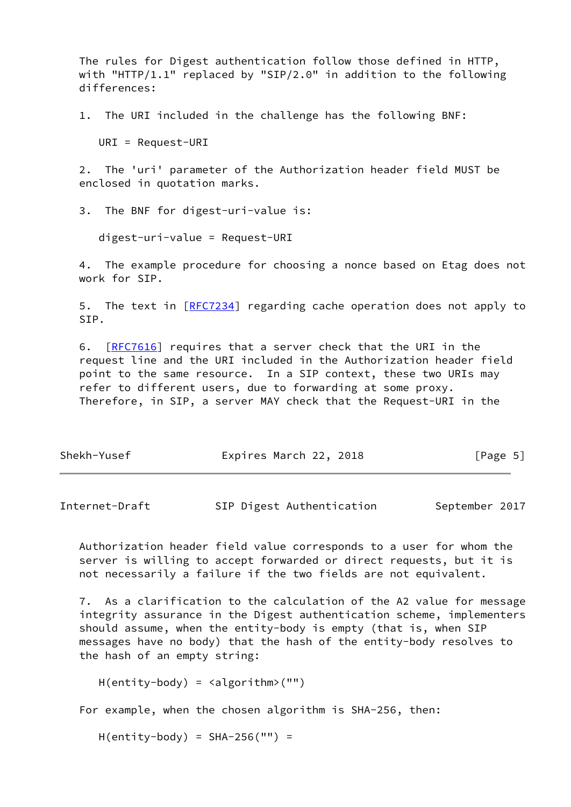The rules for Digest authentication follow those defined in HTTP, with "HTTP/1.1" replaced by "SIP/2.0" in addition to the following differences:

1. The URI included in the challenge has the following BNF:

URI = Request-URI

 2. The 'uri' parameter of the Authorization header field MUST be enclosed in quotation marks.

3. The BNF for digest-uri-value is:

digest-uri-value = Request-URI

 4. The example procedure for choosing a nonce based on Etag does not work for SIP.

 5. The text in [\[RFC7234](https://datatracker.ietf.org/doc/pdf/rfc7234)] regarding cache operation does not apply to SIP.

6. [\[RFC7616](https://datatracker.ietf.org/doc/pdf/rfc7616)] requires that a server check that the URI in the request line and the URI included in the Authorization header field point to the same resource. In a SIP context, these two URIs may refer to different users, due to forwarding at some proxy. Therefore, in SIP, a server MAY check that the Request-URI in the

| Shekh-Yusef | Expires March 22, 2018 | [Page 5] |
|-------------|------------------------|----------|
|-------------|------------------------|----------|

<span id="page-5-0"></span>Internet-Draft SIP Digest Authentication September 2017

 Authorization header field value corresponds to a user for whom the server is willing to accept forwarded or direct requests, but it is not necessarily a failure if the two fields are not equivalent.

 7. As a clarification to the calculation of the A2 value for message integrity assurance in the Digest authentication scheme, implementers should assume, when the entity-body is empty (that is, when SIP messages have no body) that the hash of the entity-body resolves to the hash of an empty string:

H(entity-body) = <algorithm>("")

For example, when the chosen algorithm is SHA-256, then:

 $H(entity-body) = SHA-256("") =$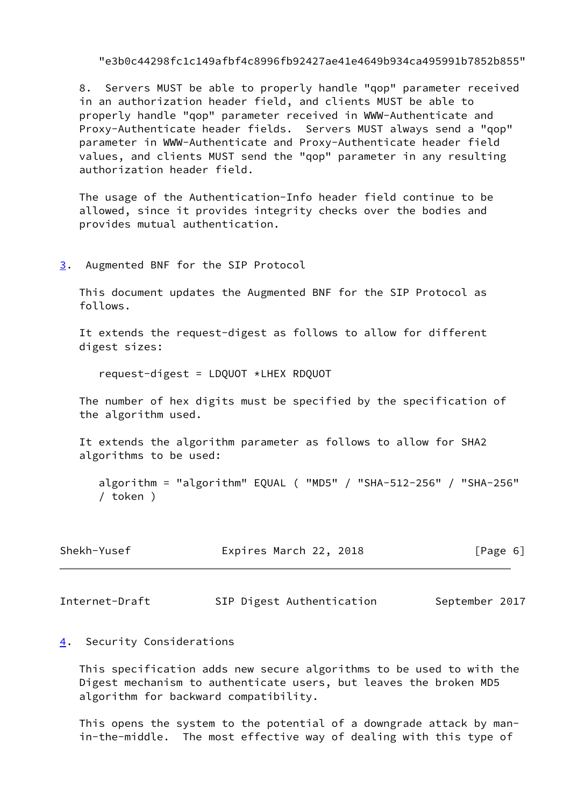"e3b0c44298fc1c149afbf4c8996fb92427ae41e4649b934ca495991b7852b855"

 8. Servers MUST be able to properly handle "qop" parameter received in an authorization header field, and clients MUST be able to properly handle "qop" parameter received in WWW-Authenticate and Proxy-Authenticate header fields. Servers MUST always send a "qop" parameter in WWW-Authenticate and Proxy-Authenticate header field values, and clients MUST send the "qop" parameter in any resulting authorization header field.

 The usage of the Authentication-Info header field continue to be allowed, since it provides integrity checks over the bodies and provides mutual authentication.

#### <span id="page-6-0"></span>[3](#page-6-0). Augmented BNF for the SIP Protocol

 This document updates the Augmented BNF for the SIP Protocol as follows.

 It extends the request-digest as follows to allow for different digest sizes:

request-digest = LDQUOT \*LHEX RDQUOT

 The number of hex digits must be specified by the specification of the algorithm used.

 It extends the algorithm parameter as follows to allow for SHA2 algorithms to be used:

 algorithm = "algorithm" EQUAL ( "MD5" / "SHA-512-256" / "SHA-256" / token )

| Shekh-Yusef | Expires March 22, 2018 | [Page 6] |
|-------------|------------------------|----------|
|             |                        |          |

<span id="page-6-2"></span>Internet-Draft SIP Digest Authentication September 2017

# <span id="page-6-1"></span>[4](#page-6-1). Security Considerations

 This specification adds new secure algorithms to be used to with the Digest mechanism to authenticate users, but leaves the broken MD5 algorithm for backward compatibility.

 This opens the system to the potential of a downgrade attack by man in-the-middle. The most effective way of dealing with this type of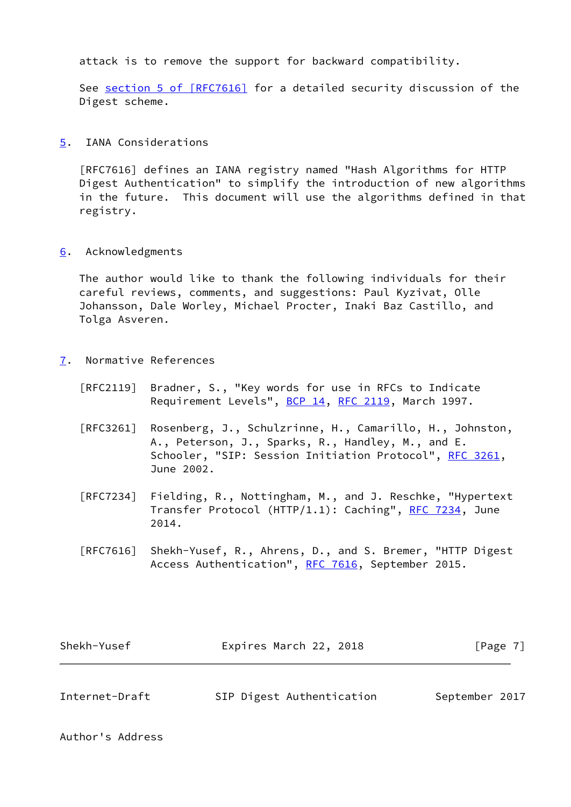attack is to remove the support for backward compatibility.

 See section [5 of \[RFC7616\]](https://datatracker.ietf.org/doc/pdf/rfc7616#section-5) for a detailed security discussion of the Digest scheme.

<span id="page-7-0"></span>[5](#page-7-0). IANA Considerations

 [RFC7616] defines an IANA registry named "Hash Algorithms for HTTP Digest Authentication" to simplify the introduction of new algorithms in the future. This document will use the algorithms defined in that registry.

<span id="page-7-1"></span>[6](#page-7-1). Acknowledgments

 The author would like to thank the following individuals for their careful reviews, comments, and suggestions: Paul Kyzivat, Olle Johansson, Dale Worley, Michael Procter, Inaki Baz Castillo, and Tolga Asveren.

- <span id="page-7-2"></span>[7](#page-7-2). Normative References
	- [RFC2119] Bradner, S., "Key words for use in RFCs to Indicate Requirement Levels", [BCP 14](https://datatracker.ietf.org/doc/pdf/bcp14), [RFC 2119](https://datatracker.ietf.org/doc/pdf/rfc2119), March 1997.
	- [RFC3261] Rosenberg, J., Schulzrinne, H., Camarillo, H., Johnston, A., Peterson, J., Sparks, R., Handley, M., and E. Schooler, "SIP: Session Initiation Protocol", [RFC 3261](https://datatracker.ietf.org/doc/pdf/rfc3261), June 2002.
	- [RFC7234] Fielding, R., Nottingham, M., and J. Reschke, "Hypertext Transfer Protocol (HTTP/1.1): Caching", [RFC 7234,](https://datatracker.ietf.org/doc/pdf/rfc7234) June 2014.
	- [RFC7616] Shekh-Yusef, R., Ahrens, D., and S. Bremer, "HTTP Digest Access Authentication", [RFC 7616,](https://datatracker.ietf.org/doc/pdf/rfc7616) September 2015.

<span id="page-7-3"></span>

| Expires March 22, 2018    | [Page 7]       |
|---------------------------|----------------|
| SIP Digest Authentication | September 2017 |
|                           |                |